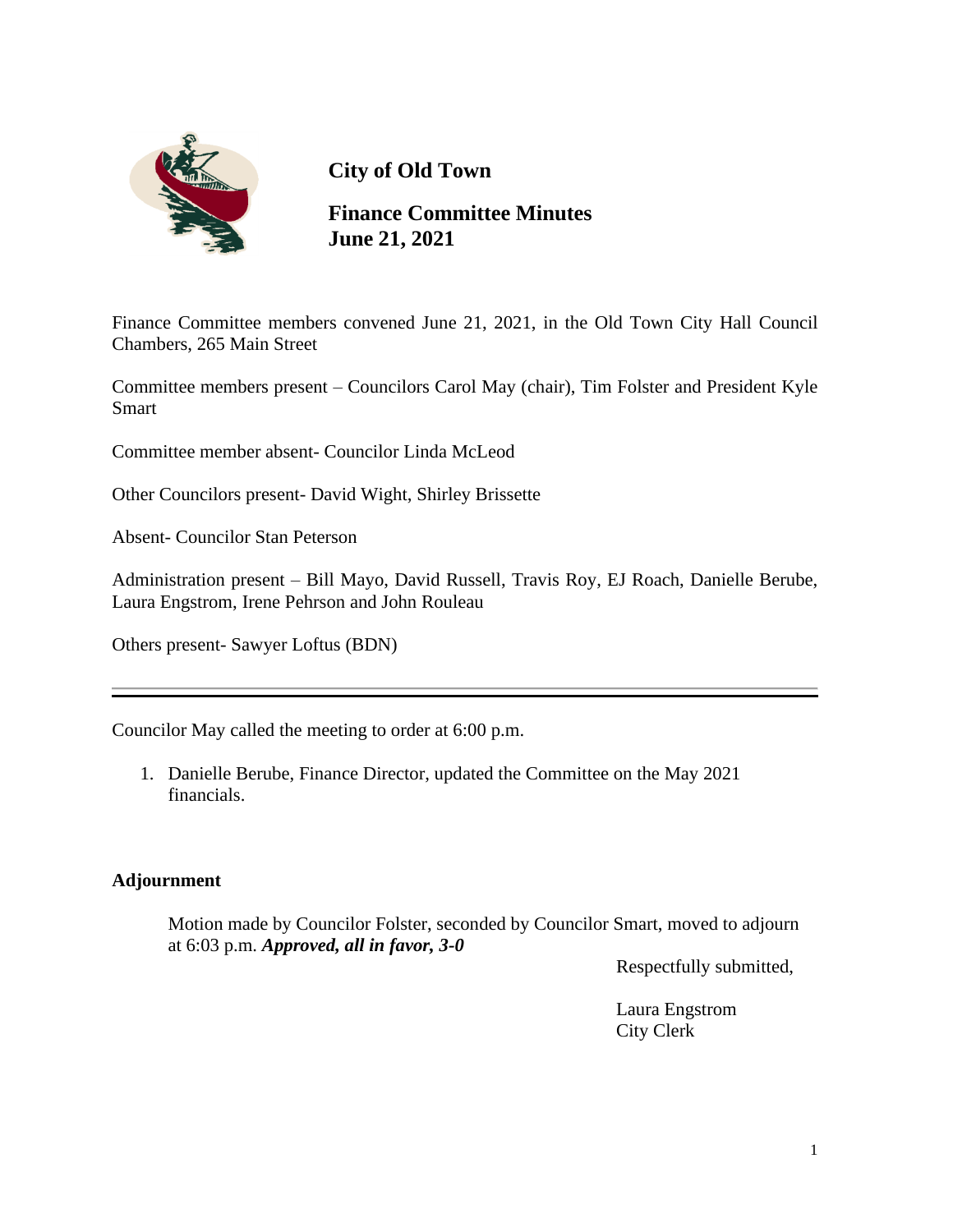

# **City of Old Town**

**Finance Committee Minutes June 21, 2021**

Finance Committee members convened June 21, 2021, in the Old Town City Hall Council Chambers, 265 Main Street

Committee members present – Councilors Carol May (chair), Tim Folster and President Kyle Smart

Committee member absent- Councilor Linda McLeod

Other Councilors present- David Wight, Shirley Brissette

Absent- Councilor Stan Peterson

Administration present – Bill Mayo, David Russell, Travis Roy, EJ Roach, Danielle Berube, Laura Engstrom, Irene Pehrson and John Rouleau

Others present- Sawyer Loftus (BDN)

Councilor May called the meeting to order at 6:00 p.m.

1. Danielle Berube, Finance Director, updated the Committee on the May 2021 financials.

### **Adjournment**

 Motion made by Councilor Folster, seconded by Councilor Smart, moved to adjourn at 6:03 p.m. *Approved, all in favor, 3-0*

Respectfully submitted,

Laura Engstrom City Clerk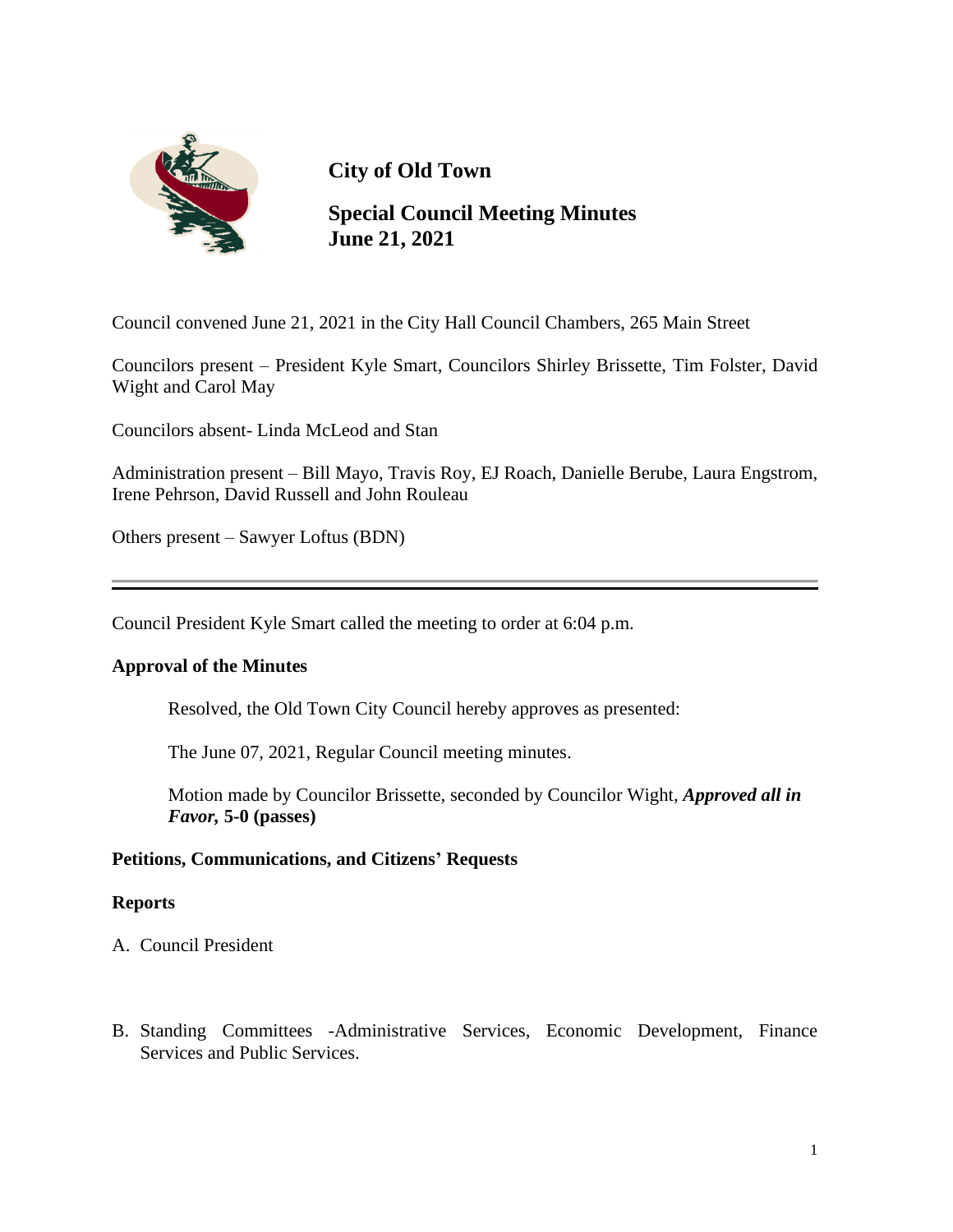

# **City of Old Town**

**Special Council Meeting Minutes June 21, 2021**

Council convened June 21, 2021 in the City Hall Council Chambers, 265 Main Street

Councilors present – President Kyle Smart, Councilors Shirley Brissette, Tim Folster, David Wight and Carol May

Councilors absent- Linda McLeod and Stan

Administration present – Bill Mayo, Travis Roy, EJ Roach, Danielle Berube, Laura Engstrom, Irene Pehrson, David Russell and John Rouleau

Others present – Sawyer Loftus (BDN)

Council President Kyle Smart called the meeting to order at 6:04 p.m.

#### **Approval of the Minutes**

Resolved, the Old Town City Council hereby approves as presented:

The June 07, 2021, Regular Council meeting minutes.

 Motion made by Councilor Brissette, seconded by Councilor Wight, *Approved all in Favor,* **5-0 (passes)**

#### **Petitions, Communications, and Citizens' Requests**

#### **Reports**

A. Council President

B. Standing Committees -Administrative Services, Economic Development, Finance Services and Public Services.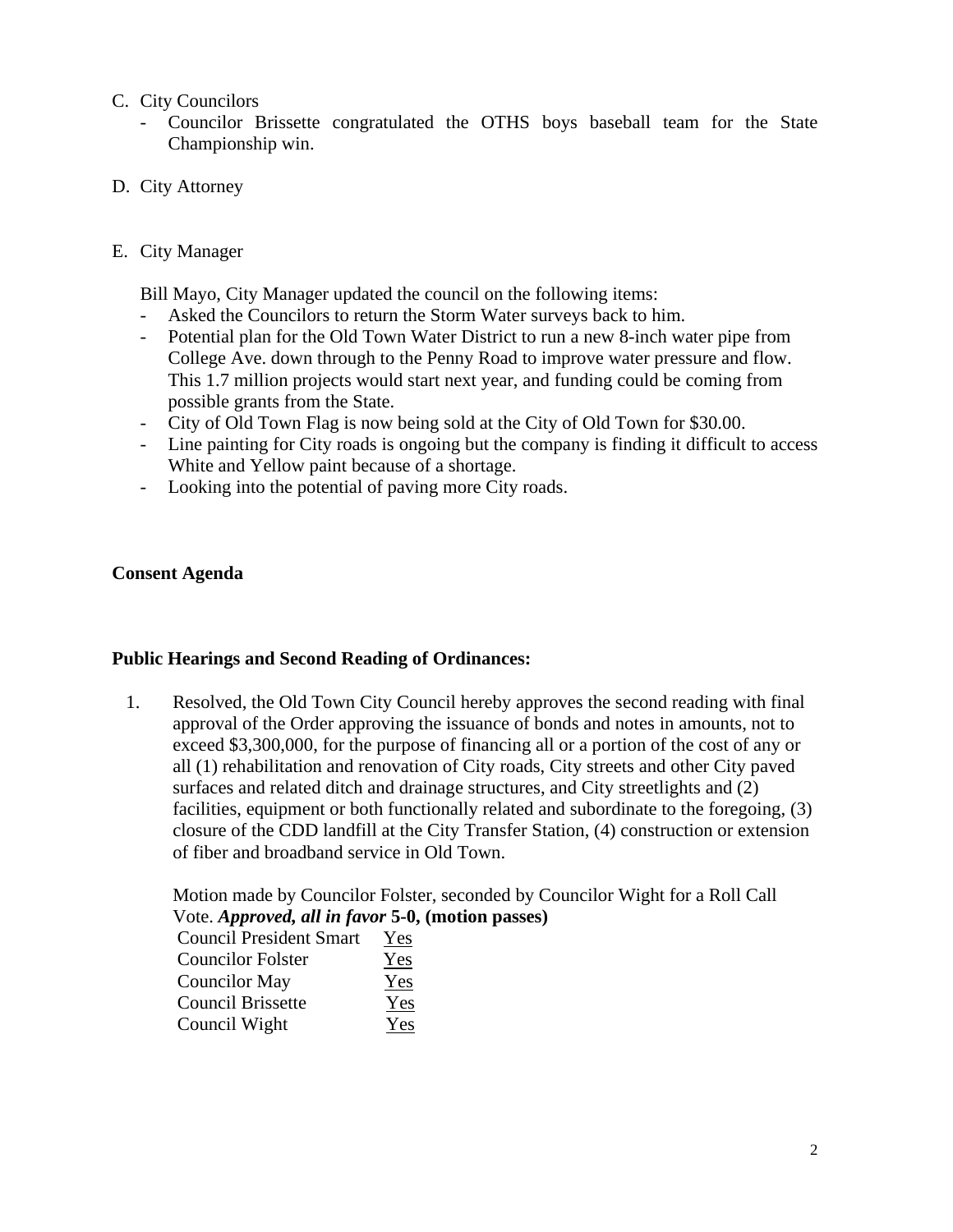#### C. City Councilors

- Councilor Brissette congratulated the OTHS boys baseball team for the State Championship win.

### D. City Attorney

#### E. City Manager

Bill Mayo, City Manager updated the council on the following items:

- Asked the Councilors to return the Storm Water surveys back to him.
- Potential plan for the Old Town Water District to run a new 8-inch water pipe from College Ave. down through to the Penny Road to improve water pressure and flow. This 1.7 million projects would start next year, and funding could be coming from possible grants from the State.
- City of Old Town Flag is now being sold at the City of Old Town for \$30.00.
- Line painting for City roads is ongoing but the company is finding it difficult to access White and Yellow paint because of a shortage.
- Looking into the potential of paving more City roads.

#### **Consent Agenda**

#### **Public Hearings and Second Reading of Ordinances:**

1. Resolved, the Old Town City Council hereby approves the second reading with final approval of the Order approving the issuance of bonds and notes in amounts, not to exceed \$3,300,000, for the purpose of financing all or a portion of the cost of any or all (1) rehabilitation and renovation of City roads, City streets and other City paved surfaces and related ditch and drainage structures, and City streetlights and (2) facilities, equipment or both functionally related and subordinate to the foregoing, (3) closure of the CDD landfill at the City Transfer Station, (4) construction or extension of fiber and broadband service in Old Town.

 Motion made by Councilor Folster, seconded by Councilor Wight for a Roll Call Vote. *Approved, all in favor* **5-0, (motion passes)**

| <b>Council President Smart</b> | Yes |
|--------------------------------|-----|
| <b>Councilor Folster</b>       | Yes |
| Councilor May                  | Yes |
| <b>Council Brissette</b>       | Yes |
| Council Wight                  | Yes |
|                                |     |